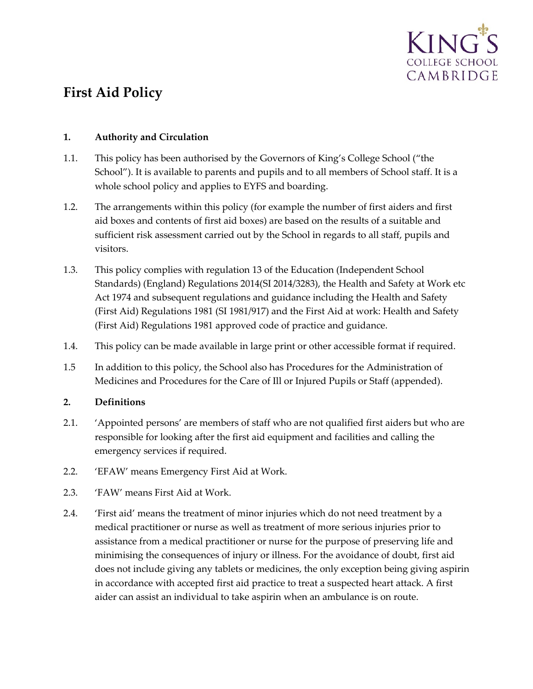

# **First Aid Policy**

### **1. Authority and Circulation**

- 1.1. This policy has been authorised by the Governors of King's College School ("the School"). It is available to parents and pupils and to all members of School staff. It is a whole school policy and applies to EYFS and boarding.
- 1.2. The arrangements within this policy (for example the number of first aiders and first aid boxes and contents of first aid boxes) are based on the results of a suitable and sufficient risk assessment carried out by the School in regards to all staff, pupils and visitors.
- 1.3. This policy complies with regulation 13 of the Education (Independent School Standards) (England) Regulations 2014(SI 2014/3283), the Health and Safety at Work etc Act 1974 and subsequent regulations and guidance including the Health and Safety (First Aid) Regulations 1981 (SI 1981/917) and the First Aid at work: Health and Safety (First Aid) Regulations 1981 approved code of practice and guidance.
- 1.4. This policy can be made available in large print or other accessible format if required.
- 1.5 In addition to this policy, the School also has Procedures for the Administration of Medicines and Procedures for the Care of Ill or Injured Pupils or Staff (appended).

### **2. Definitions**

- 2.1. 'Appointed persons' are members of staff who are not qualified first aiders but who are responsible for looking after the first aid equipment and facilities and calling the emergency services if required.
- 2.2. 'EFAW' means Emergency First Aid at Work.
- 2.3. 'FAW' means First Aid at Work.
- 2.4. 'First aid' means the treatment of minor injuries which do not need treatment by a medical practitioner or nurse as well as treatment of more serious injuries prior to assistance from a medical practitioner or nurse for the purpose of preserving life and minimising the consequences of injury or illness. For the avoidance of doubt, first aid does not include giving any tablets or medicines, the only exception being giving aspirin in accordance with accepted first aid practice to treat a suspected heart attack. A first aider can assist an individual to take aspirin when an ambulance is on route.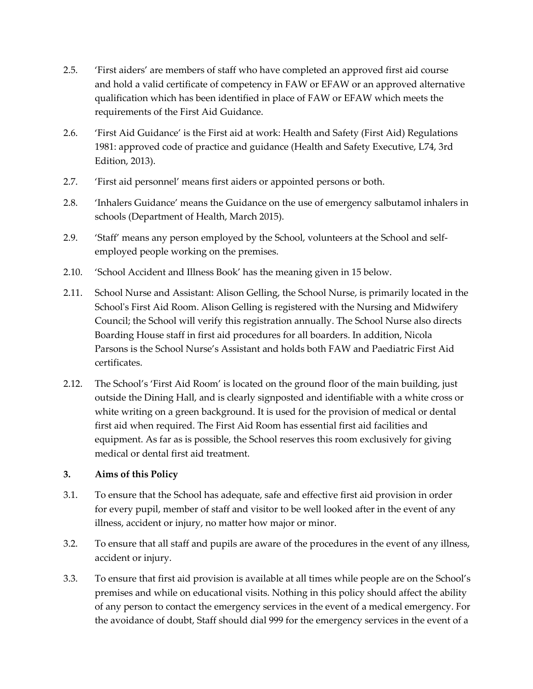- 2.5. 'First aiders' are members of staff who have completed an approved first aid course and hold a valid certificate of competency in FAW or EFAW or an approved alternative qualification which has been identified in place of FAW or EFAW which meets the requirements of the First Aid Guidance.
- 2.6. 'First Aid Guidance' is the First aid at work: Health and Safety (First Aid) Regulations 1981: approved code of practice and guidance (Health and Safety Executive, L74, 3rd Edition, 2013).
- 2.7. 'First aid personnel' means first aiders or appointed persons or both.
- 2.8. 'Inhalers Guidance' means the Guidance on the use of emergency salbutamol inhalers in schools (Department of Health, March 2015).
- 2.9. 'Staff' means any person employed by the School, volunteers at the School and selfemployed people working on the premises.
- 2.10. 'School Accident and Illness Book' has the meaning given in 15 below.
- 2.11. School Nurse and Assistant: Alison Gelling, the School Nurse, is primarily located in the School's First Aid Room. Alison Gelling is registered with the Nursing and Midwifery Council; the School will verify this registration annually. The School Nurse also directs Boarding House staff in first aid procedures for all boarders. In addition, Nicola Parsons is the School Nurse's Assistant and holds both FAW and Paediatric First Aid certificates.
- 2.12. The School's 'First Aid Room' is located on the ground floor of the main building, just outside the Dining Hall, and is clearly signposted and identifiable with a white cross or white writing on a green background. It is used for the provision of medical or dental first aid when required. The First Aid Room has essential first aid facilities and equipment. As far as is possible, the School reserves this room exclusively for giving medical or dental first aid treatment.

### **3. Aims of this Policy**

- 3.1. To ensure that the School has adequate, safe and effective first aid provision in order for every pupil, member of staff and visitor to be well looked after in the event of any illness, accident or injury, no matter how major or minor.
- 3.2. To ensure that all staff and pupils are aware of the procedures in the event of any illness, accident or injury.
- 3.3. To ensure that first aid provision is available at all times while people are on the School's premises and while on educational visits. Nothing in this policy should affect the ability of any person to contact the emergency services in the event of a medical emergency. For the avoidance of doubt, Staff should dial 999 for the emergency services in the event of a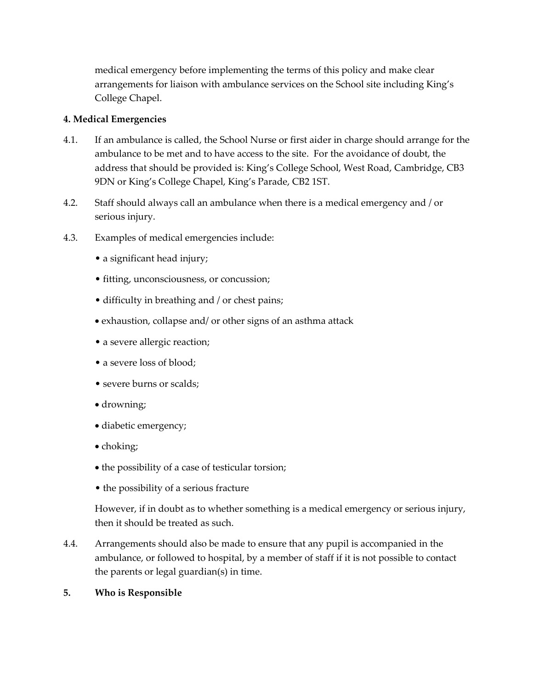medical emergency before implementing the terms of this policy and make clear arrangements for liaison with ambulance services on the School site including King's College Chapel.

### **4. Medical Emergencies**

- 4.1. If an ambulance is called, the School Nurse or first aider in charge should arrange for the ambulance to be met and to have access to the site. For the avoidance of doubt, the address that should be provided is: King's College School, West Road, Cambridge, CB3 9DN or King's College Chapel, King's Parade, CB2 1ST.
- 4.2. Staff should always call an ambulance when there is a medical emergency and / or serious injury.
- 4.3. Examples of medical emergencies include:
	- a significant head injury;
	- fitting, unconsciousness, or concussion;
	- difficulty in breathing and / or chest pains;
	- exhaustion, collapse and/ or other signs of an asthma attack
	- a severe allergic reaction;
	- a severe loss of blood;
	- severe burns or scalds;
	- drowning;
	- diabetic emergency;
	- choking;
	- the possibility of a case of testicular torsion;
	- the possibility of a serious fracture

However, if in doubt as to whether something is a medical emergency or serious injury, then it should be treated as such.

4.4. Arrangements should also be made to ensure that any pupil is accompanied in the ambulance, or followed to hospital, by a member of staff if it is not possible to contact the parents or legal guardian(s) in time.

### **5. Who is Responsible**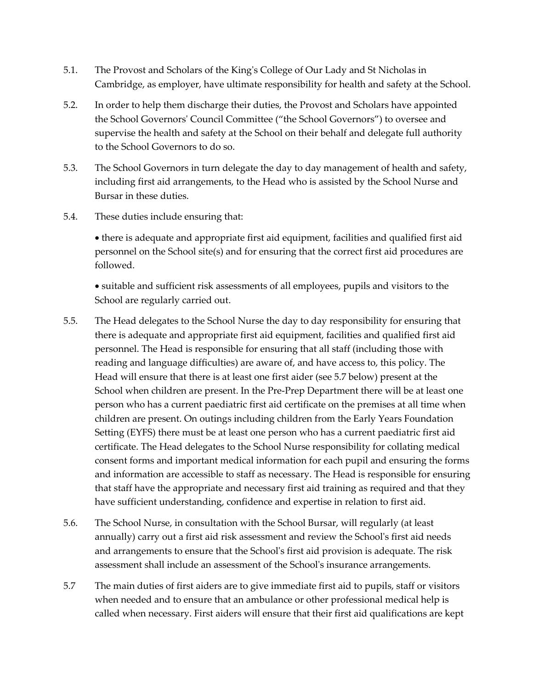- 5.1. The Provost and Scholars of the King's College of Our Lady and St Nicholas in Cambridge, as employer, have ultimate responsibility for health and safety at the School.
- 5.2. In order to help them discharge their duties, the Provost and Scholars have appointed the School Governors' Council Committee ("the School Governors") to oversee and supervise the health and safety at the School on their behalf and delegate full authority to the School Governors to do so.
- 5.3. The School Governors in turn delegate the day to day management of health and safety, including first aid arrangements, to the Head who is assisted by the School Nurse and Bursar in these duties.
- 5.4. These duties include ensuring that:

• there is adequate and appropriate first aid equipment, facilities and qualified first aid personnel on the School site(s) and for ensuring that the correct first aid procedures are followed.

• suitable and sufficient risk assessments of all employees, pupils and visitors to the School are regularly carried out.

- 5.5. The Head delegates to the School Nurse the day to day responsibility for ensuring that there is adequate and appropriate first aid equipment, facilities and qualified first aid personnel. The Head is responsible for ensuring that all staff (including those with reading and language difficulties) are aware of, and have access to, this policy. The Head will ensure that there is at least one first aider (see 5.7 below) present at the School when children are present. In the Pre-Prep Department there will be at least one person who has a current paediatric first aid certificate on the premises at all time when children are present. On outings including children from the Early Years Foundation Setting (EYFS) there must be at least one person who has a current paediatric first aid certificate. The Head delegates to the School Nurse responsibility for collating medical consent forms and important medical information for each pupil and ensuring the forms and information are accessible to staff as necessary. The Head is responsible for ensuring that staff have the appropriate and necessary first aid training as required and that they have sufficient understanding, confidence and expertise in relation to first aid.
- 5.6. The School Nurse, in consultation with the School Bursar, will regularly (at least annually) carry out a first aid risk assessment and review the School's first aid needs and arrangements to ensure that the School's first aid provision is adequate. The risk assessment shall include an assessment of the School's insurance arrangements.
- 5.7 The main duties of first aiders are to give immediate first aid to pupils, staff or visitors when needed and to ensure that an ambulance or other professional medical help is called when necessary. First aiders will ensure that their first aid qualifications are kept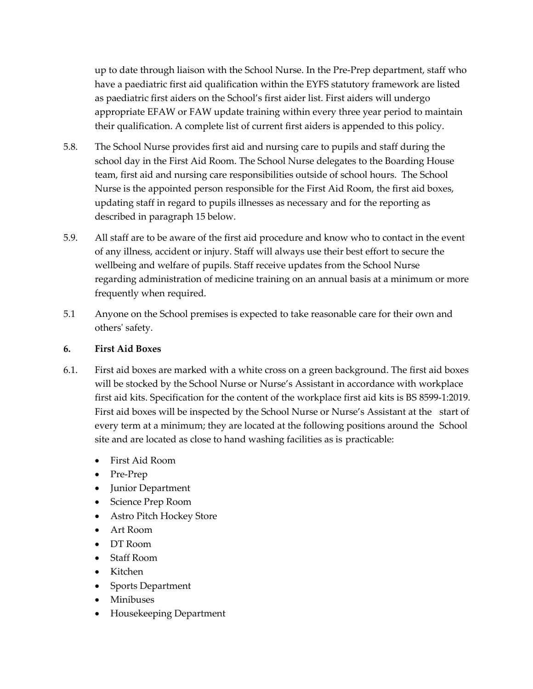up to date through liaison with the School Nurse. In the Pre-Prep department, staff who have a paediatric first aid qualification within the EYFS statutory framework are listed as paediatric first aiders on the School's first aider list. First aiders will undergo appropriate EFAW or FAW update training within every three year period to maintain their qualification. A complete list of current first aiders is appended to this policy.

- 5.8. The School Nurse provides first aid and nursing care to pupils and staff during the school day in the First Aid Room. The School Nurse delegates to the Boarding House team, first aid and nursing care responsibilities outside of school hours. The School Nurse is the appointed person responsible for the First Aid Room, the first aid boxes, updating staff in regard to pupils illnesses as necessary and for the reporting as described in paragraph 15 below.
- 5.9. All staff are to be aware of the first aid procedure and know who to contact in the event of any illness, accident or injury. Staff will always use their best effort to secure the wellbeing and welfare of pupils. Staff receive updates from the School Nurse regarding administration of medicine training on an annual basis at a minimum or more frequently when required.
- 5.1 Anyone on the School premises is expected to take reasonable care for their own and others' safety.

### **6. First Aid Boxes**

- 6.1. First aid boxes are marked with a white cross on a green background. The first aid boxes will be stocked by the School Nurse or Nurse's Assistant in accordance with workplace first aid kits. Specification for the content of the workplace first aid kits is BS 8599-1:2019. First aid boxes will be inspected by the School Nurse or Nurse's Assistant at the start of every term at a minimum; they are located at the following positions around the School site and are located as close to hand washing facilities as is practicable:
	- First Aid Room
	- Pre-Prep
	- Junior Department
	- Science Prep Room
	- Astro Pitch Hockey Store
	- Art Room
	- DT Room
	- Staff Room
	- Kitchen
	- Sports Department
	- Minibuses
	- Housekeeping Department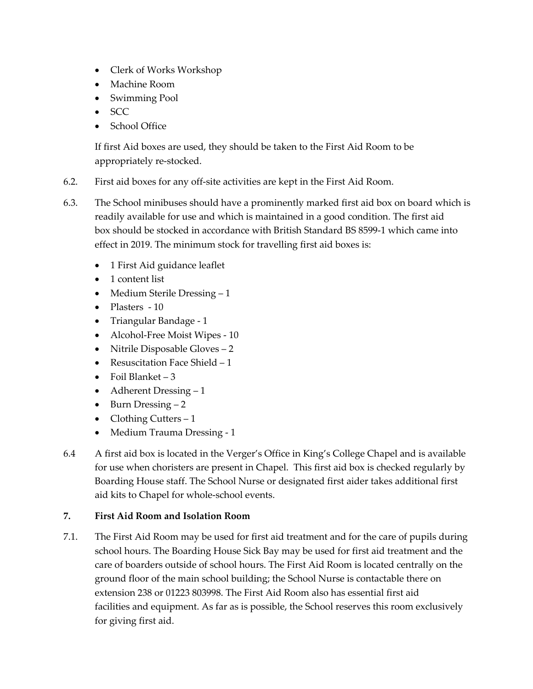- Clerk of Works Workshop
- Machine Room
- Swimming Pool
- SCC
- School Office

If first Aid boxes are used, they should be taken to the First Aid Room to be appropriately re-stocked.

- 6.2. First aid boxes for any off-site activities are kept in the First Aid Room.
- 6.3. The School minibuses should have a prominently marked first aid box on board which is readily available for use and which is maintained in a good condition. The first aid box should be stocked in accordance with British Standard BS 8599-1 which came into effect in 2019. The minimum stock for travelling first aid boxes is:
	- 1 First Aid guidance leaflet
	- 1 content list
	- Medium Sterile Dressing 1
	- Plasters 10
	- Triangular Bandage 1
	- Alcohol-Free Moist Wipes 10
	- Nitrile Disposable Gloves 2
	- Resuscitation Face Shield 1
	- Foil Blanket  $-3$
	- Adherent Dressing 1
	- Burn Dressing 2
	- Clothing Cutters  $-1$
	- Medium Trauma Dressing 1
- 6.4 A first aid box is located in the Verger's Office in King's College Chapel and is available for use when choristers are present in Chapel. This first aid box is checked regularly by Boarding House staff. The School Nurse or designated first aider takes additional first aid kits to Chapel for whole-school events.

### **7. First Aid Room and Isolation Room**

7.1. The First Aid Room may be used for first aid treatment and for the care of pupils during school hours. The Boarding House Sick Bay may be used for first aid treatment and the care of boarders outside of school hours. The First Aid Room is located centrally on the ground floor of the main school building; the School Nurse is contactable there on extension 238 or 01223 803998. The First Aid Room also has essential first aid facilities and equipment. As far as is possible, the School reserves this room exclusively for giving first aid.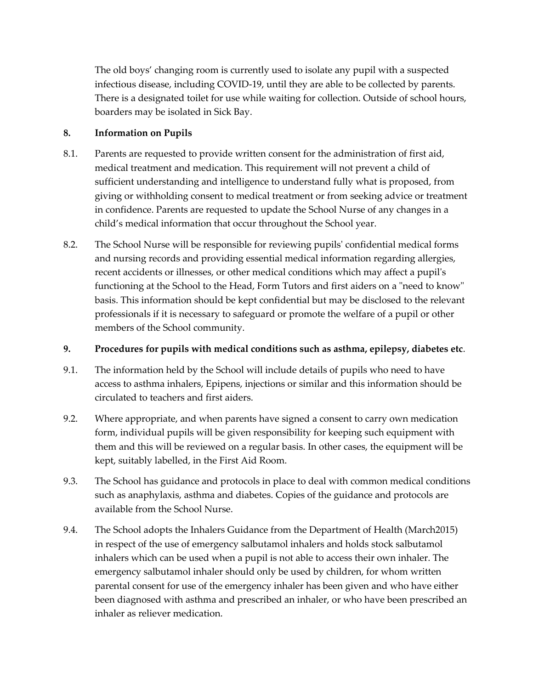The old boys' changing room is currently used to isolate any pupil with a suspected infectious disease, including COVID-19, until they are able to be collected by parents. There is a designated toilet for use while waiting for collection. Outside of school hours, boarders may be isolated in Sick Bay.

### **8. Information on Pupils**

- 8.1. Parents are requested to provide written consent for the administration of first aid, medical treatment and medication. This requirement will not prevent a child of sufficient understanding and intelligence to understand fully what is proposed, from giving or withholding consent to medical treatment or from seeking advice or treatment in confidence. Parents are requested to update the School Nurse of any changes in a child's medical information that occur throughout the School year.
- 8.2. The School Nurse will be responsible for reviewing pupils' confidential medical forms and nursing records and providing essential medical information regarding allergies, recent accidents or illnesses, or other medical conditions which may affect a pupil's functioning at the School to the Head, Form Tutors and first aiders on a "need to know" basis. This information should be kept confidential but may be disclosed to the relevant professionals if it is necessary to safeguard or promote the welfare of a pupil or other members of the School community.

### **9. Procedures for pupils with medical conditions such as asthma, epilepsy, diabetes etc**.

- 9.1. The information held by the School will include details of pupils who need to have access to asthma inhalers, Epipens, injections or similar and this information should be circulated to teachers and first aiders.
- 9.2. Where appropriate, and when parents have signed a consent to carry own medication form, individual pupils will be given responsibility for keeping such equipment with them and this will be reviewed on a regular basis. In other cases, the equipment will be kept, suitably labelled, in the First Aid Room.
- 9.3. The School has guidance and protocols in place to deal with common medical conditions such as anaphylaxis, asthma and diabetes. Copies of the guidance and protocols are available from the School Nurse.
- 9.4. The School adopts the Inhalers Guidance from the Department of Health (March2015) in respect of the use of emergency salbutamol inhalers and holds stock salbutamol inhalers which can be used when a pupil is not able to access their own inhaler. The emergency salbutamol inhaler should only be used by children, for whom written parental consent for use of the emergency inhaler has been given and who have either been diagnosed with asthma and prescribed an inhaler, or who have been prescribed an inhaler as reliever medication.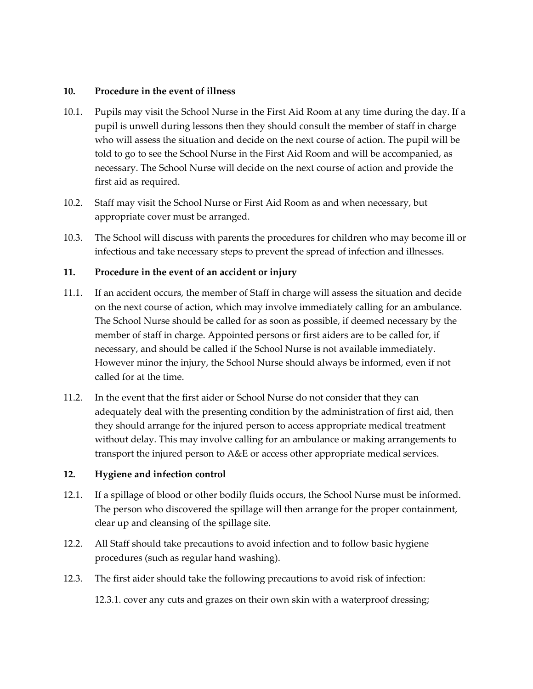#### **10. Procedure in the event of illness**

- 10.1. Pupils may visit the School Nurse in the First Aid Room at any time during the day. If a pupil is unwell during lessons then they should consult the member of staff in charge who will assess the situation and decide on the next course of action. The pupil will be told to go to see the School Nurse in the First Aid Room and will be accompanied, as necessary. The School Nurse will decide on the next course of action and provide the first aid as required.
- 10.2. Staff may visit the School Nurse or First Aid Room as and when necessary, but appropriate cover must be arranged.
- 10.3. The School will discuss with parents the procedures for children who may become ill or infectious and take necessary steps to prevent the spread of infection and illnesses.

### **11. Procedure in the event of an accident or injury**

- 11.1. If an accident occurs, the member of Staff in charge will assess the situation and decide on the next course of action, which may involve immediately calling for an ambulance. The School Nurse should be called for as soon as possible, if deemed necessary by the member of staff in charge. Appointed persons or first aiders are to be called for, if necessary, and should be called if the School Nurse is not available immediately. However minor the injury, the School Nurse should always be informed, even if not called for at the time.
- 11.2. In the event that the first aider or School Nurse do not consider that they can adequately deal with the presenting condition by the administration of first aid, then they should arrange for the injured person to access appropriate medical treatment without delay. This may involve calling for an ambulance or making arrangements to transport the injured person to A&E or access other appropriate medical services.

### **12. Hygiene and infection control**

- 12.1. If a spillage of blood or other bodily fluids occurs, the School Nurse must be informed. The person who discovered the spillage will then arrange for the proper containment, clear up and cleansing of the spillage site.
- 12.2. All Staff should take precautions to avoid infection and to follow basic hygiene procedures (such as regular hand washing).
- 12.3. The first aider should take the following precautions to avoid risk of infection: 12.3.1. cover any cuts and grazes on their own skin with a waterproof dressing;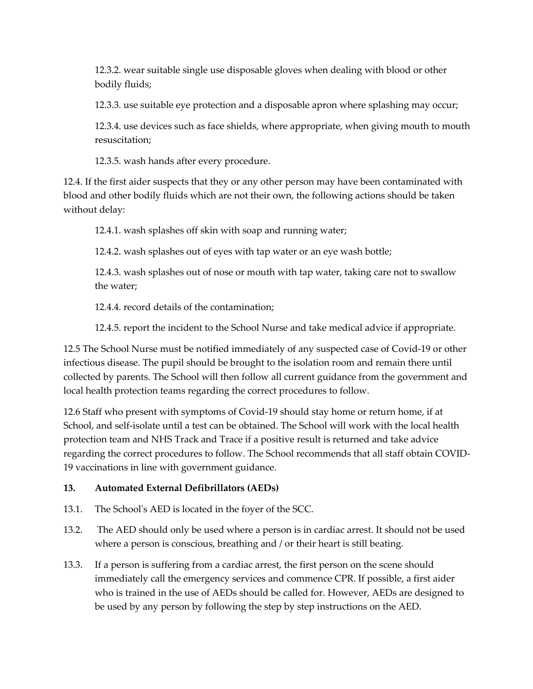12.3.2. wear suitable single use disposable gloves when dealing with blood or other bodily fluids;

12.3.3. use suitable eye protection and a disposable apron where splashing may occur;

12.3.4. use devices such as face shields, where appropriate, when giving mouth to mouth resuscitation;

12.3.5. wash hands after every procedure.

12.4. If the first aider suspects that they or any other person may have been contaminated with blood and other bodily fluids which are not their own, the following actions should be taken without delay:

12.4.1. wash splashes off skin with soap and running water;

12.4.2. wash splashes out of eyes with tap water or an eye wash bottle;

12.4.3. wash splashes out of nose or mouth with tap water, taking care not to swallow the water;

12.4.4. record details of the contamination;

12.4.5. report the incident to the School Nurse and take medical advice if appropriate.

12.5 The School Nurse must be notified immediately of any suspected case of Covid-19 or other infectious disease. The pupil should be brought to the isolation room and remain there until collected by parents. The School will then follow all current guidance from the government and local health protection teams regarding the correct procedures to follow.

12.6 Staff who present with symptoms of Covid-19 should stay home or return home, if at School, and self-isolate until a test can be obtained. The School will work with the local health protection team and NHS Track and Trace if a positive result is returned and take advice regarding the correct procedures to follow. The School recommends that all staff obtain COVID-19 vaccinations in line with government guidance.

### **13. Automated External Defibrillators (AEDs)**

- 13.1. The School's AED is located in the foyer of the SCC.
- 13.2. The AED should only be used where a person is in cardiac arrest. It should not be used where a person is conscious, breathing and / or their heart is still beating.
- 13.3. If a person is suffering from a cardiac arrest, the first person on the scene should immediately call the emergency services and commence CPR. If possible, a first aider who is trained in the use of AEDs should be called for. However, AEDs are designed to be used by any person by following the step by step instructions on the AED.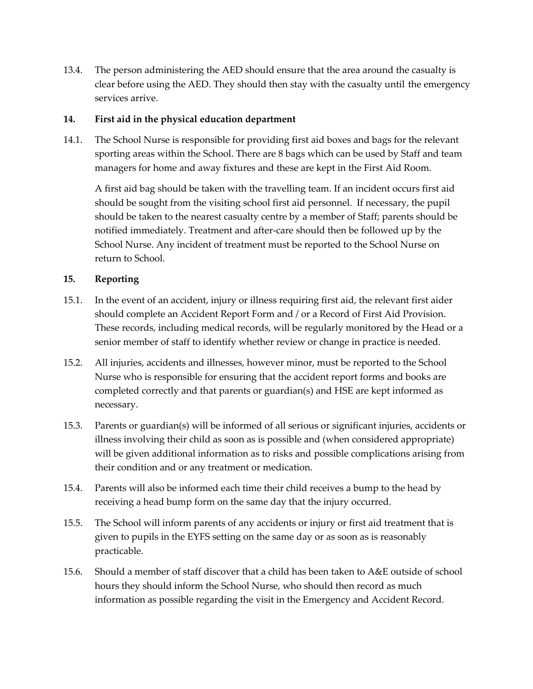13.4. The person administering the AED should ensure that the area around the casualty is clear before using the AED. They should then stay with the casualty until the emergency services arrive.

### **14. First aid in the physical education department**

14.1. The School Nurse is responsible for providing first aid boxes and bags for the relevant sporting areas within the School. There are 8 bags which can be used by Staff and team managers for home and away fixtures and these are kept in the First Aid Room.

A first aid bag should be taken with the travelling team. If an incident occurs first aid should be sought from the visiting school first aid personnel. If necessary, the pupil should be taken to the nearest casualty centre by a member of Staff; parents should be notified immediately. Treatment and after-care should then be followed up by the School Nurse. Any incident of treatment must be reported to the School Nurse on return to School.

### **15. Reporting**

- 15.1. In the event of an accident, injury or illness requiring first aid, the relevant first aider should complete an Accident Report Form and / or a Record of First Aid Provision. These records, including medical records, will be regularly monitored by the Head or a senior member of staff to identify whether review or change in practice is needed.
- 15.2. All injuries, accidents and illnesses, however minor, must be reported to the School Nurse who is responsible for ensuring that the accident report forms and books are completed correctly and that parents or guardian(s) and HSE are kept informed as necessary.
- 15.3. Parents or guardian(s) will be informed of all serious or significant injuries, accidents or illness involving their child as soon as is possible and (when considered appropriate) will be given additional information as to risks and possible complications arising from their condition and or any treatment or medication.
- 15.4. Parents will also be informed each time their child receives a bump to the head by receiving a head bump form on the same day that the injury occurred.
- 15.5. The School will inform parents of any accidents or injury or first aid treatment that is given to pupils in the EYFS setting on the same day or as soon as is reasonably practicable.
- 15.6. Should a member of staff discover that a child has been taken to A&E outside of school hours they should inform the School Nurse, who should then record as much information as possible regarding the visit in the Emergency and Accident Record.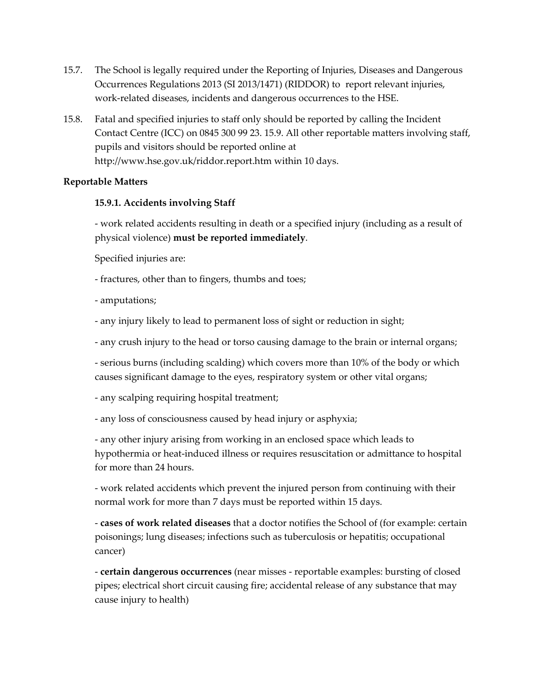- 15.7. The School is legally required under the Reporting of Injuries, Diseases and Dangerous Occurrences Regulations 2013 (SI 2013/1471) (RIDDOR) to report relevant injuries, work-related diseases, incidents and dangerous occurrences to the HSE.
- 15.8. Fatal and specified injuries to staff only should be reported by calling the Incident Contact Centre (ICC) on 0845 300 99 23. 15.9. All other reportable matters involving staff, pupils and visitors should be reported online at http://www.hse.gov.uk/riddor.report.htm within 10 days.

### **Reportable Matters**

### **15.9.1. Accidents involving Staff**

- work related accidents resulting in death or a specified injury (including as a result of physical violence) **must be reported immediately**.

Specified injuries are:

- fractures, other than to fingers, thumbs and toes;
- amputations;
- any injury likely to lead to permanent loss of sight or reduction in sight;

- any crush injury to the head or torso causing damage to the brain or internal organs;

- serious burns (including scalding) which covers more than 10% of the body or which causes significant damage to the eyes, respiratory system or other vital organs;

- any scalping requiring hospital treatment;

- any loss of consciousness caused by head injury or asphyxia;

- any other injury arising from working in an enclosed space which leads to hypothermia or heat-induced illness or requires resuscitation or admittance to hospital for more than 24 hours.

- work related accidents which prevent the injured person from continuing with their normal work for more than 7 days must be reported within 15 days.

- **cases of work related diseases** that a doctor notifies the School of (for example: certain poisonings; lung diseases; infections such as tuberculosis or hepatitis; occupational cancer)

- **certain dangerous occurrences** (near misses - reportable examples: bursting of closed pipes; electrical short circuit causing fire; accidental release of any substance that may cause injury to health)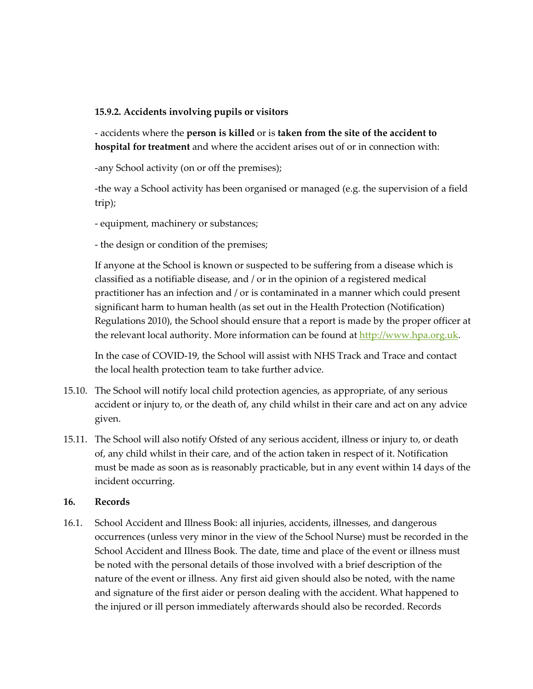### **15.9.2. Accidents involving pupils or visitors**

- accidents where the **person is killed** or is **taken from the site of the accident to hospital for treatment** and where the accident arises out of or in connection with:

-any School activity (on or off the premises);

-the way a School activity has been organised or managed (e.g. the supervision of a field trip);

- equipment, machinery or substances;

- the design or condition of the premises;

If anyone at the School is known or suspected to be suffering from a disease which is classified as a notifiable disease, and / or in the opinion of a registered medical practitioner has an infection and / or is contaminated in a manner which could present significant harm to human health (as set out in the Health Protection (Notification) Regulations 2010), the School should ensure that a report is made by the proper officer at the relevant local authority. More information can be found at http://www.hpa.org.uk.

In the case of COVID-19, the School will assist with NHS Track and Trace and contact the local health protection team to take further advice.

- 15.10. The School will notify local child protection agencies, as appropriate, of any serious accident or injury to, or the death of, any child whilst in their care and act on any advice given.
- 15.11. The School will also notify Ofsted of any serious accident, illness or injury to, or death of, any child whilst in their care, and of the action taken in respect of it. Notification must be made as soon as is reasonably practicable, but in any event within 14 days of the incident occurring.

#### **16. Records**

16.1. School Accident and Illness Book: all injuries, accidents, illnesses, and dangerous occurrences (unless very minor in the view of the School Nurse) must be recorded in the School Accident and Illness Book. The date, time and place of the event or illness must be noted with the personal details of those involved with a brief description of the nature of the event or illness. Any first aid given should also be noted, with the name and signature of the first aider or person dealing with the accident. What happened to the injured or ill person immediately afterwards should also be recorded. Records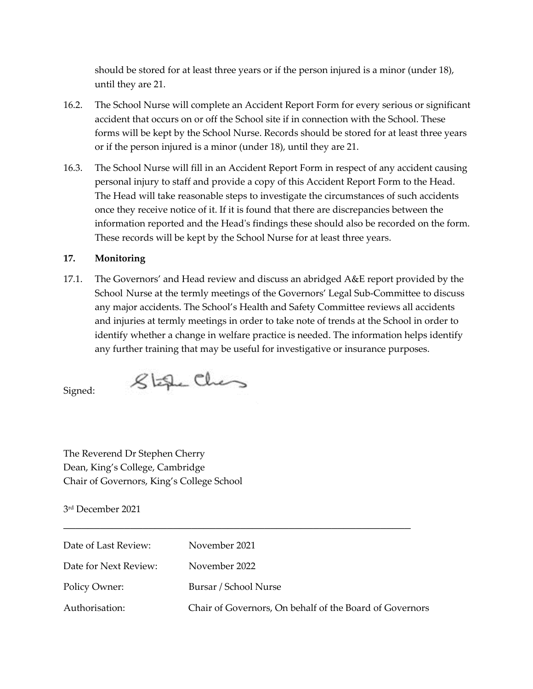should be stored for at least three years or if the person injured is a minor (under 18), until they are 21.

- 16.2. The School Nurse will complete an Accident Report Form for every serious or significant accident that occurs on or off the School site if in connection with the School. These forms will be kept by the School Nurse. Records should be stored for at least three years or if the person injured is a minor (under 18), until they are 21.
- 16.3. The School Nurse will fill in an Accident Report Form in respect of any accident causing personal injury to staff and provide a copy of this Accident Report Form to the Head. The Head will take reasonable steps to investigate the circumstances of such accidents once they receive notice of it. If it is found that there are discrepancies between the information reported and the Head's findings these should also be recorded on the form. These records will be kept by the School Nurse for at least three years.

#### **17. Monitoring**

17.1. The Governors' and Head review and discuss an abridged A&E report provided by the School Nurse at the termly meetings of the Governors' Legal Sub-Committee to discuss any major accidents. The School's Health and Safety Committee reviews all accidents and injuries at termly meetings in order to take note of trends at the School in order to identify whether a change in welfare practice is needed. The information helps identify any further training that may be useful for investigative or insurance purposes.

Signed:

The Reverend Dr Stephen Cherry Dean, King's College, Cambridge Chair of Governors, King's College School

Stefe Ches

3rd December 2021

| Date of Last Review:  | November 2021                                           |
|-----------------------|---------------------------------------------------------|
| Date for Next Review: | November 2022                                           |
| Policy Owner:         | Bursar / School Nurse                                   |
| Authorisation:        | Chair of Governors, On behalf of the Board of Governors |

**\_\_\_\_\_\_\_\_\_\_\_\_\_\_\_\_\_\_\_\_\_\_\_\_\_\_\_\_\_\_\_\_\_\_\_\_\_\_\_\_\_\_\_\_\_\_\_\_\_\_\_\_\_\_\_\_\_**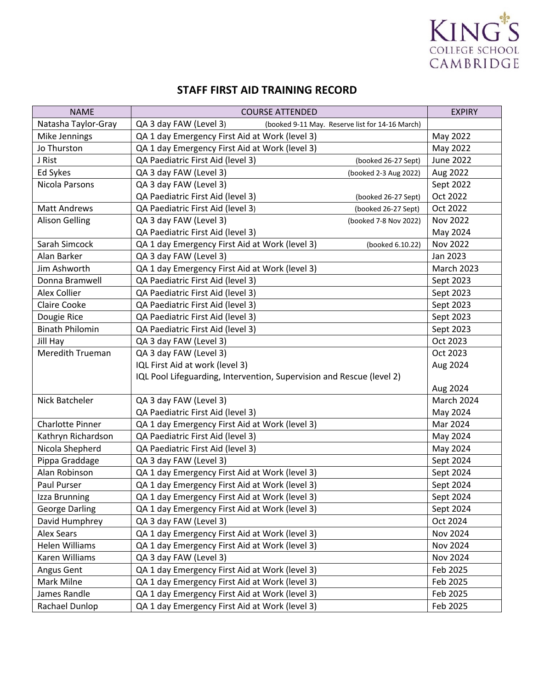

### **STAFF FIRST AID TRAINING RECORD**

| <b>NAME</b>             | <b>COURSE ATTENDED</b>                                                    | <b>EXPIRY</b>     |
|-------------------------|---------------------------------------------------------------------------|-------------------|
| Natasha Taylor-Gray     | QA 3 day FAW (Level 3)<br>(booked 9-11 May. Reserve list for 14-16 March) |                   |
| Mike Jennings           | QA 1 day Emergency First Aid at Work (level 3)                            | May 2022          |
| Jo Thurston             | QA 1 day Emergency First Aid at Work (level 3)                            | May 2022          |
| J Rist                  | QA Paediatric First Aid (level 3)<br>(booked 26-27 Sept)                  | <b>June 2022</b>  |
| Ed Sykes                | QA 3 day FAW (Level 3)<br>(booked 2-3 Aug 2022)                           | Aug 2022          |
| Nicola Parsons          | QA 3 day FAW (Level 3)                                                    | Sept 2022         |
|                         | QA Paediatric First Aid (level 3)<br>(booked 26-27 Sept)                  | Oct 2022          |
| <b>Matt Andrews</b>     | QA Paediatric First Aid (level 3)<br>(booked 26-27 Sept)                  | Oct 2022          |
| <b>Alison Gelling</b>   | QA 3 day FAW (Level 3)<br>(booked 7-8 Nov 2022)                           | Nov 2022          |
|                         | QA Paediatric First Aid (level 3)                                         | May 2024          |
| Sarah Simcock           | QA 1 day Emergency First Aid at Work (level 3)<br>(booked 6.10.22)        | Nov 2022          |
| Alan Barker             | QA 3 day FAW (Level 3)                                                    | Jan 2023          |
| Jim Ashworth            | QA 1 day Emergency First Aid at Work (level 3)                            | <b>March 2023</b> |
| Donna Bramwell          | QA Paediatric First Aid (level 3)                                         | Sept 2023         |
| Alex Collier            | QA Paediatric First Aid (level 3)                                         | Sept 2023         |
| <b>Claire Cooke</b>     | QA Paediatric First Aid (level 3)                                         | Sept 2023         |
| Dougie Rice             | QA Paediatric First Aid (level 3)                                         | Sept 2023         |
| <b>Binath Philomin</b>  | QA Paediatric First Aid (level 3)                                         | Sept 2023         |
| Jill Hay                | QA 3 day FAW (Level 3)                                                    | Oct 2023          |
| Meredith Trueman        | QA 3 day FAW (Level 3)                                                    | Oct 2023          |
|                         | IQL First Aid at work (level 3)                                           | Aug 2024          |
|                         | IQL Pool Lifeguarding, Intervention, Supervision and Rescue (level 2)     |                   |
|                         |                                                                           | Aug 2024          |
| Nick Batcheler          | QA 3 day FAW (Level 3)                                                    | March 2024        |
|                         | QA Paediatric First Aid (level 3)                                         | May 2024          |
| <b>Charlotte Pinner</b> | QA 1 day Emergency First Aid at Work (level 3)                            | Mar 2024          |
| Kathryn Richardson      | QA Paediatric First Aid (level 3)                                         | May 2024          |
| Nicola Shepherd         | QA Paediatric First Aid (level 3)                                         | May 2024          |
| Pippa Graddage          | QA 3 day FAW (Level 3)                                                    | Sept 2024         |
| Alan Robinson           | QA 1 day Emergency First Aid at Work (level 3)                            | Sept 2024         |
| Paul Purser             | QA 1 day Emergency First Aid at Work (level 3)                            | Sept 2024         |
| Izza Brunning           | QA 1 day Emergency First Aid at Work (level 3)                            | Sept 2024         |
| <b>George Darling</b>   | QA 1 day Emergency First Aid at Work (level 3)                            | Sept 2024         |
| David Humphrey          | QA 3 day FAW (Level 3)                                                    | Oct 2024          |
| <b>Alex Sears</b>       | QA 1 day Emergency First Aid at Work (level 3)                            | Nov 2024          |
| <b>Helen Williams</b>   | QA 1 day Emergency First Aid at Work (level 3)                            | <b>Nov 2024</b>   |
| Karen Williams          | QA 3 day FAW (Level 3)                                                    | Nov 2024          |
| Angus Gent              | QA 1 day Emergency First Aid at Work (level 3)                            | Feb 2025          |
| Mark Milne              | QA 1 day Emergency First Aid at Work (level 3)                            | Feb 2025          |
| James Randle            | QA 1 day Emergency First Aid at Work (level 3)                            | Feb 2025          |
| Rachael Dunlop          | QA 1 day Emergency First Aid at Work (level 3)                            | Feb 2025          |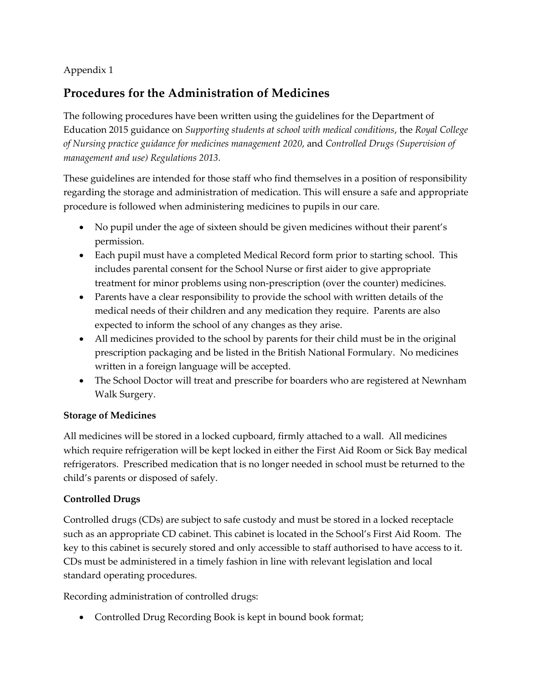### Appendix 1

## **Procedures for the Administration of Medicines**

The following procedures have been written using the guidelines for the Department of Education 2015 guidance on *Supporting students at school with medical conditions*, the *Royal College of Nursing practice guidance for medicines management 2020*, and *Controlled Drugs (Supervision of management and use) Regulations 2013.*

These guidelines are intended for those staff who find themselves in a position of responsibility regarding the storage and administration of medication. This will ensure a safe and appropriate procedure is followed when administering medicines to pupils in our care.

- No pupil under the age of sixteen should be given medicines without their parent's permission.
- Each pupil must have a completed Medical Record form prior to starting school. This includes parental consent for the School Nurse or first aider to give appropriate treatment for minor problems using non-prescription (over the counter) medicines.
- Parents have a clear responsibility to provide the school with written details of the medical needs of their children and any medication they require. Parents are also expected to inform the school of any changes as they arise.
- All medicines provided to the school by parents for their child must be in the original prescription packaging and be listed in the British National Formulary. No medicines written in a foreign language will be accepted.
- The School Doctor will treat and prescribe for boarders who are registered at Newnham Walk Surgery.

### **Storage of Medicines**

All medicines will be stored in a locked cupboard, firmly attached to a wall. All medicines which require refrigeration will be kept locked in either the First Aid Room or Sick Bay medical refrigerators. Prescribed medication that is no longer needed in school must be returned to the child's parents or disposed of safely.

### **Controlled Drugs**

Controlled drugs (CDs) are subject to safe custody and must be stored in a locked receptacle such as an appropriate CD cabinet. This cabinet is located in the School's First Aid Room. The key to this cabinet is securely stored and only accessible to staff authorised to have access to it. CDs must be administered in a timely fashion in line with relevant legislation and local standard operating procedures.

Recording administration of controlled drugs:

• Controlled Drug Recording Book is kept in bound book format;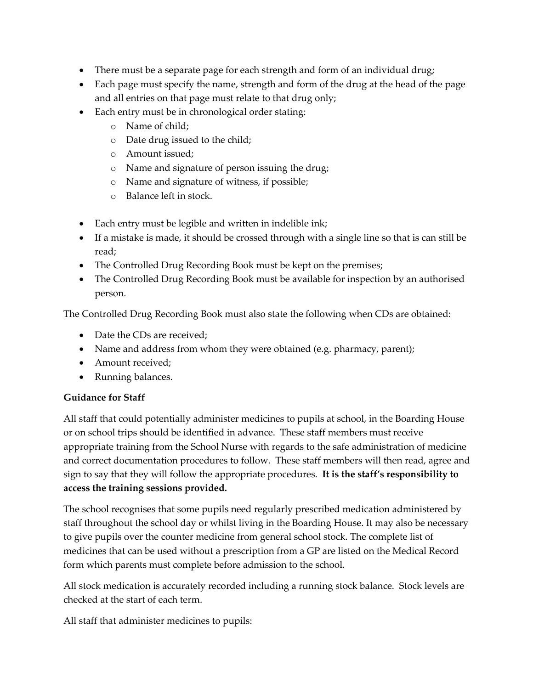- There must be a separate page for each strength and form of an individual drug;
- Each page must specify the name, strength and form of the drug at the head of the page and all entries on that page must relate to that drug only;
- Each entry must be in chronological order stating:
	- o Name of child;
	- o Date drug issued to the child;
	- o Amount issued;
	- o Name and signature of person issuing the drug;
	- o Name and signature of witness, if possible;
	- o Balance left in stock.
- Each entry must be legible and written in indelible ink;
- If a mistake is made, it should be crossed through with a single line so that is can still be read;
- The Controlled Drug Recording Book must be kept on the premises;
- The Controlled Drug Recording Book must be available for inspection by an authorised person.

The Controlled Drug Recording Book must also state the following when CDs are obtained:

- Date the CDs are received;
- Name and address from whom they were obtained (e.g. pharmacy, parent);
- Amount received;
- Running balances.

### **Guidance for Staff**

All staff that could potentially administer medicines to pupils at school, in the Boarding House or on school trips should be identified in advance. These staff members must receive appropriate training from the School Nurse with regards to the safe administration of medicine and correct documentation procedures to follow. These staff members will then read, agree and sign to say that they will follow the appropriate procedures. **It is the staff's responsibility to access the training sessions provided.**

The school recognises that some pupils need regularly prescribed medication administered by staff throughout the school day or whilst living in the Boarding House. It may also be necessary to give pupils over the counter medicine from general school stock. The complete list of medicines that can be used without a prescription from a GP are listed on the Medical Record form which parents must complete before admission to the school.

All stock medication is accurately recorded including a running stock balance. Stock levels are checked at the start of each term.

All staff that administer medicines to pupils: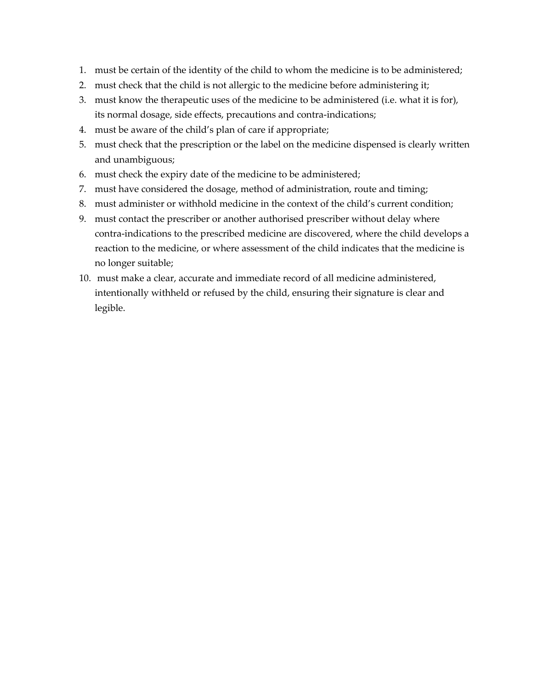- 1. must be certain of the identity of the child to whom the medicine is to be administered;
- 2. must check that the child is not allergic to the medicine before administering it;
- 3. must know the therapeutic uses of the medicine to be administered (i.e. what it is for), its normal dosage, side effects, precautions and contra-indications;
- 4. must be aware of the child's plan of care if appropriate;
- 5. must check that the prescription or the label on the medicine dispensed is clearly written and unambiguous;
- 6. must check the expiry date of the medicine to be administered;
- 7. must have considered the dosage, method of administration, route and timing;
- 8. must administer or withhold medicine in the context of the child's current condition;
- 9. must contact the prescriber or another authorised prescriber without delay where contra-indications to the prescribed medicine are discovered, where the child develops a reaction to the medicine, or where assessment of the child indicates that the medicine is no longer suitable;
- 10. must make a clear, accurate and immediate record of all medicine administered, intentionally withheld or refused by the child, ensuring their signature is clear and legible.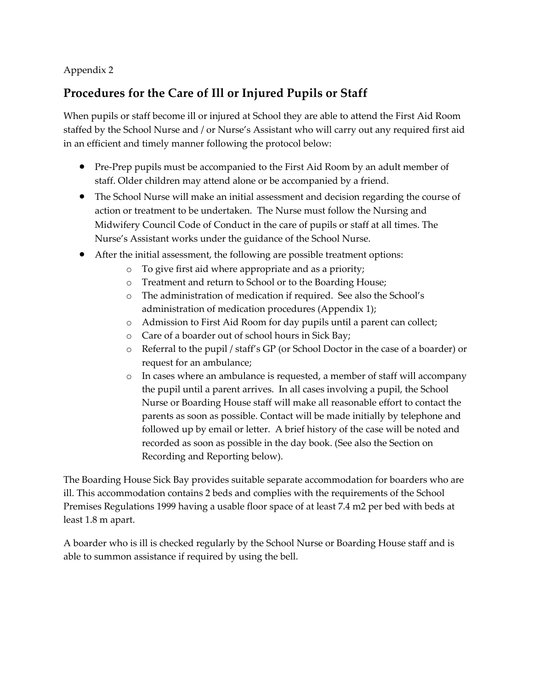### Appendix 2

## **Procedures for the Care of Ill or Injured Pupils or Staff**

When pupils or staff become ill or injured at School they are able to attend the First Aid Room staffed by the School Nurse and / or Nurse's Assistant who will carry out any required first aid in an efficient and timely manner following the protocol below:

- Pre-Prep pupils must be accompanied to the First Aid Room by an adult member of staff. Older children may attend alone or be accompanied by a friend.
- The School Nurse will make an initial assessment and decision regarding the course of action or treatment to be undertaken. The Nurse must follow the Nursing and Midwifery Council Code of Conduct in the care of pupils or staff at all times. The Nurse's Assistant works under the guidance of the School Nurse.
- After the initial assessment, the following are possible treatment options:
	- o To give first aid where appropriate and as a priority;
	- o Treatment and return to School or to the Boarding House;
	- o The administration of medication if required. See also the School's administration of medication procedures (Appendix 1);
	- o Admission to First Aid Room for day pupils until a parent can collect;
	- o Care of a boarder out of school hours in Sick Bay;
	- o Referral to the pupil / staff's GP (or School Doctor in the case of a boarder) or request for an ambulance;
	- o In cases where an ambulance is requested, a member of staff will accompany the pupil until a parent arrives. In all cases involving a pupil, the School Nurse or Boarding House staff will make all reasonable effort to contact the parents as soon as possible. Contact will be made initially by telephone and followed up by email or letter. A brief history of the case will be noted and recorded as soon as possible in the day book. (See also the Section on Recording and Reporting below).

The Boarding House Sick Bay provides suitable separate accommodation for boarders who are ill. This accommodation contains 2 beds and complies with the requirements of the School Premises Regulations 1999 having a usable floor space of at least 7.4 m2 per bed with beds at least 1.8 m apart.

A boarder who is ill is checked regularly by the School Nurse or Boarding House staff and is able to summon assistance if required by using the bell.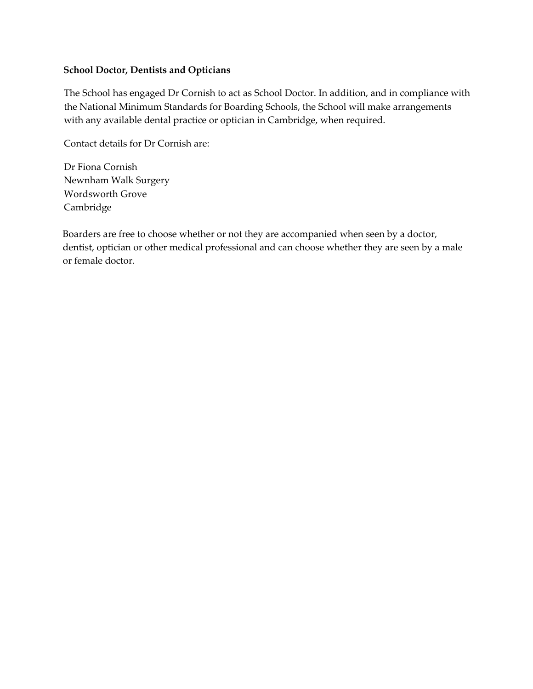### **School Doctor, Dentists and Opticians**

The School has engaged Dr Cornish to act as School Doctor. In addition, and in compliance with the National Minimum Standards for Boarding Schools, the School will make arrangements with any available dental practice or optician in Cambridge, when required.

Contact details for Dr Cornish are:

Dr Fiona Cornish Newnham Walk Surgery Wordsworth Grove Cambridge

Boarders are free to choose whether or not they are accompanied when seen by a doctor, dentist, optician or other medical professional and can choose whether they are seen by a male or female doctor.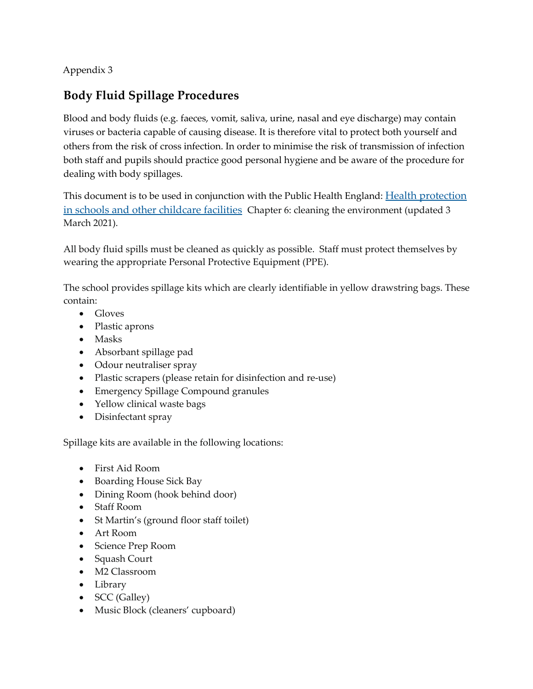Appendix 3

## **Body Fluid Spillage Procedures**

Blood and body fluids (e.g. faeces, vomit, saliva, urine, nasal and eye discharge) may contain viruses or bacteria capable of causing disease. It is therefore vital to protect both yourself and others from the risk of cross infection. In order to minimise the risk of transmission of infection both staff and pupils should practice good personal hygiene and be aware of the procedure for dealing with body spillages.

This document is to be used in conjunction with the Public Health England: Health protection in schools and other childcare facilities Chapter 6: cleaning the environment (updated 3 March 2021).

All body fluid spills must be cleaned as quickly as possible. Staff must protect themselves by wearing the appropriate Personal Protective Equipment (PPE).

The school provides spillage kits which are clearly identifiable in yellow drawstring bags. These contain:

- Gloves
- Plastic aprons
- Masks
- Absorbant spillage pad
- Odour neutraliser spray
- Plastic scrapers (please retain for disinfection and re-use)
- Emergency Spillage Compound granules
- Yellow clinical waste bags
- Disinfectant spray

Spillage kits are available in the following locations:

- First Aid Room
- Boarding House Sick Bay
- Dining Room (hook behind door)
- Staff Room
- St Martin's (ground floor staff toilet)
- Art Room
- Science Prep Room
- Squash Court
- M2 Classroom
- Library
- **SCC** (Galley)
- Music Block (cleaners' cupboard)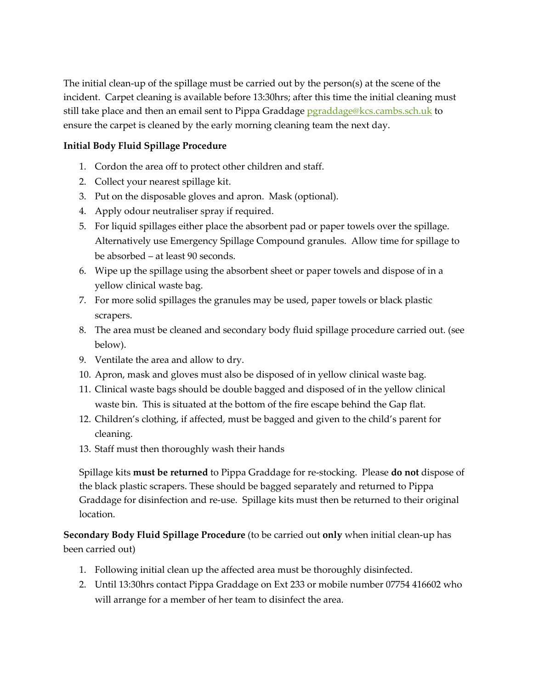The initial clean-up of the spillage must be carried out by the person(s) at the scene of the incident. Carpet cleaning is available before 13:30hrs; after this time the initial cleaning must still take place and then an email sent to Pippa Graddage pgraddage@kcs.cambs.sch.uk to ensure the carpet is cleaned by the early morning cleaning team the next day.

### **Initial Body Fluid Spillage Procedure**

- 1. Cordon the area off to protect other children and staff.
- 2. Collect your nearest spillage kit.
- 3. Put on the disposable gloves and apron. Mask (optional).
- 4. Apply odour neutraliser spray if required.
- 5. For liquid spillages either place the absorbent pad or paper towels over the spillage. Alternatively use Emergency Spillage Compound granules. Allow time for spillage to be absorbed – at least 90 seconds.
- 6. Wipe up the spillage using the absorbent sheet or paper towels and dispose of in a yellow clinical waste bag.
- 7. For more solid spillages the granules may be used, paper towels or black plastic scrapers.
- 8. The area must be cleaned and secondary body fluid spillage procedure carried out. (see below).
- 9. Ventilate the area and allow to dry.
- 10. Apron, mask and gloves must also be disposed of in yellow clinical waste bag.
- 11. Clinical waste bags should be double bagged and disposed of in the yellow clinical waste bin. This is situated at the bottom of the fire escape behind the Gap flat.
- 12. Children's clothing, if affected, must be bagged and given to the child's parent for cleaning.
- 13. Staff must then thoroughly wash their hands

Spillage kits **must be returned** to Pippa Graddage for re-stocking. Please **do not** dispose of the black plastic scrapers. These should be bagged separately and returned to Pippa Graddage for disinfection and re-use. Spillage kits must then be returned to their original location.

**Secondary Body Fluid Spillage Procedure** (to be carried out **only** when initial clean-up has been carried out)

- 1. Following initial clean up the affected area must be thoroughly disinfected.
- 2. Until 13:30hrs contact Pippa Graddage on Ext 233 or mobile number 07754 416602 who will arrange for a member of her team to disinfect the area.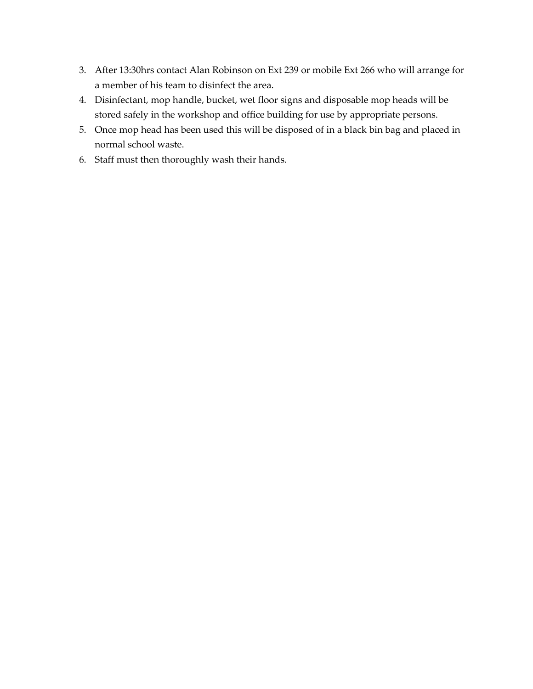- 3. After 13:30hrs contact Alan Robinson on Ext 239 or mobile Ext 266 who will arrange for a member of his team to disinfect the area.
- 4. Disinfectant, mop handle, bucket, wet floor signs and disposable mop heads will be stored safely in the workshop and office building for use by appropriate persons.
- 5. Once mop head has been used this will be disposed of in a black bin bag and placed in normal school waste.
- 6. Staff must then thoroughly wash their hands.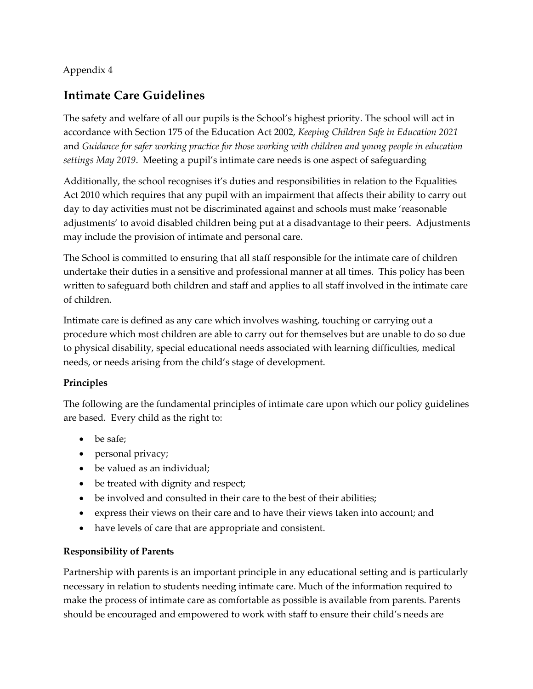### Appendix 4

## **Intimate Care Guidelines**

The safety and welfare of all our pupils is the School's highest priority. The school will act in accordance with Section 175 of the Education Act 2002, *Keeping Children Safe in Education 2021* and *Guidance for safer working practice for those working with children and young people in education settings May 2019*. Meeting a pupil's intimate care needs is one aspect of safeguarding

Additionally, the school recognises it's duties and responsibilities in relation to the Equalities Act 2010 which requires that any pupil with an impairment that affects their ability to carry out day to day activities must not be discriminated against and schools must make 'reasonable adjustments' to avoid disabled children being put at a disadvantage to their peers. Adjustments may include the provision of intimate and personal care.

The School is committed to ensuring that all staff responsible for the intimate care of children undertake their duties in a sensitive and professional manner at all times. This policy has been written to safeguard both children and staff and applies to all staff involved in the intimate care of children.

Intimate care is defined as any care which involves washing, touching or carrying out a procedure which most children are able to carry out for themselves but are unable to do so due to physical disability, special educational needs associated with learning difficulties, medical needs, or needs arising from the child's stage of development.

### **Principles**

The following are the fundamental principles of intimate care upon which our policy guidelines are based. Every child as the right to:

- be safe;
- personal privacy;
- be valued as an individual;
- be treated with dignity and respect;
- be involved and consulted in their care to the best of their abilities;
- express their views on their care and to have their views taken into account; and
- have levels of care that are appropriate and consistent.

### **Responsibility of Parents**

Partnership with parents is an important principle in any educational setting and is particularly necessary in relation to students needing intimate care. Much of the information required to make the process of intimate care as comfortable as possible is available from parents. Parents should be encouraged and empowered to work with staff to ensure their child's needs are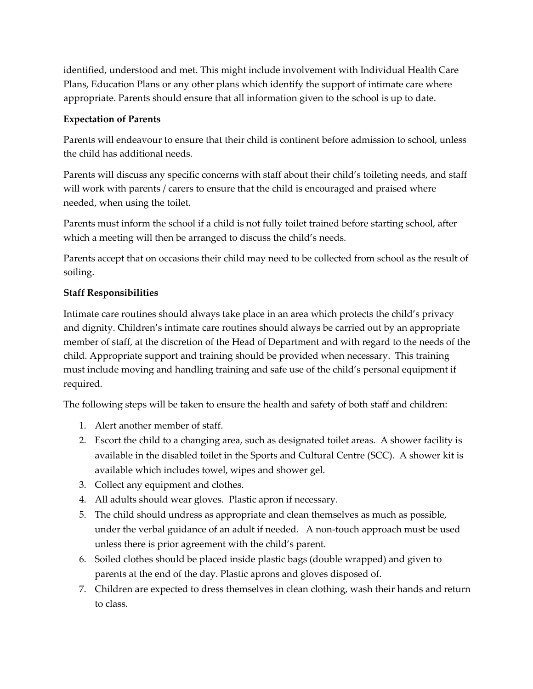identified, understood and met. This might include involvement with Individual Health Care Plans, Education Plans or any other plans which identify the support of intimate care where appropriate. Parents should ensure that all information given to the school is up to date.

### **Expectation of Parents**

Parents will endeavour to ensure that their child is continent before admission to school, unless the child has additional needs.

Parents will discuss any specific concerns with staff about their child's toileting needs, and staff will work with parents / carers to ensure that the child is encouraged and praised where needed, when using the toilet.

Parents must inform the school if a child is not fully toilet trained before starting school, after which a meeting will then be arranged to discuss the child's needs.

Parents accept that on occasions their child may need to be collected from school as the result of soiling.

### **Staff Responsibilities**

Intimate care routines should always take place in an area which protects the child's privacy and dignity. Children's intimate care routines should always be carried out by an appropriate member of staff, at the discretion of the Head of Department and with regard to the needs of the child. Appropriate support and training should be provided when necessary. This training must include moving and handling training and safe use of the child's personal equipment if required.

The following steps will be taken to ensure the health and safety of both staff and children:

- 1. Alert another member of staff.
- 2. Escort the child to a changing area, such as designated toilet areas. A shower facility is available in the disabled toilet in the Sports and Cultural Centre (SCC). A shower kit is available which includes towel, wipes and shower gel.
- 3. Collect any equipment and clothes.
- 4. All adults should wear gloves. Plastic apron if necessary.
- 5. The child should undress as appropriate and clean themselves as much as possible, under the verbal guidance of an adult if needed. A non-touch approach must be used unless there is prior agreement with the child's parent.
- 6. Soiled clothes should be placed inside plastic bags (double wrapped) and given to parents at the end of the day. Plastic aprons and gloves disposed of.
- 7. Children are expected to dress themselves in clean clothing, wash their hands and return to class.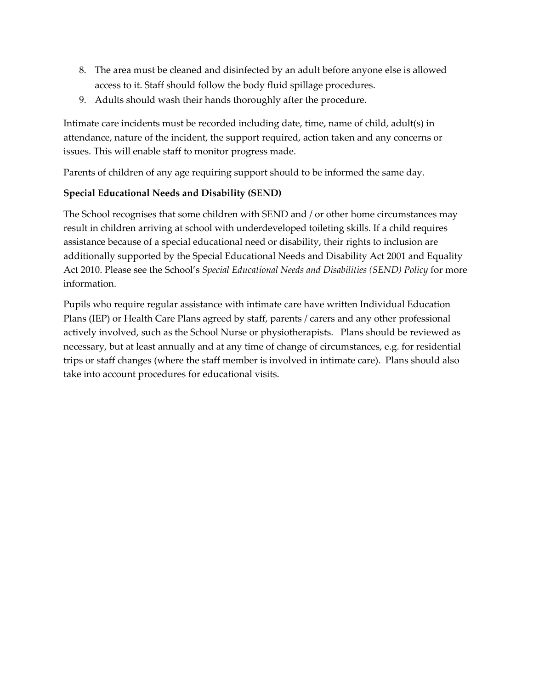- 8. The area must be cleaned and disinfected by an adult before anyone else is allowed access to it. Staff should follow the body fluid spillage procedures.
- 9. Adults should wash their hands thoroughly after the procedure.

Intimate care incidents must be recorded including date, time, name of child, adult(s) in attendance, nature of the incident, the support required, action taken and any concerns or issues. This will enable staff to monitor progress made.

Parents of children of any age requiring support should to be informed the same day.

### **Special Educational Needs and Disability (SEND)**

The School recognises that some children with SEND and / or other home circumstances may result in children arriving at school with underdeveloped toileting skills. If a child requires assistance because of a special educational need or disability, their rights to inclusion are additionally supported by the Special Educational Needs and Disability Act 2001 and Equality Act 2010. Please see the School's *Special Educational Needs and Disabilities (SEND) Policy* for more information.

Pupils who require regular assistance with intimate care have written Individual Education Plans (IEP) or Health Care Plans agreed by staff, parents / carers and any other professional actively involved, such as the School Nurse or physiotherapists. Plans should be reviewed as necessary, but at least annually and at any time of change of circumstances, e.g. for residential trips or staff changes (where the staff member is involved in intimate care). Plans should also take into account procedures for educational visits.